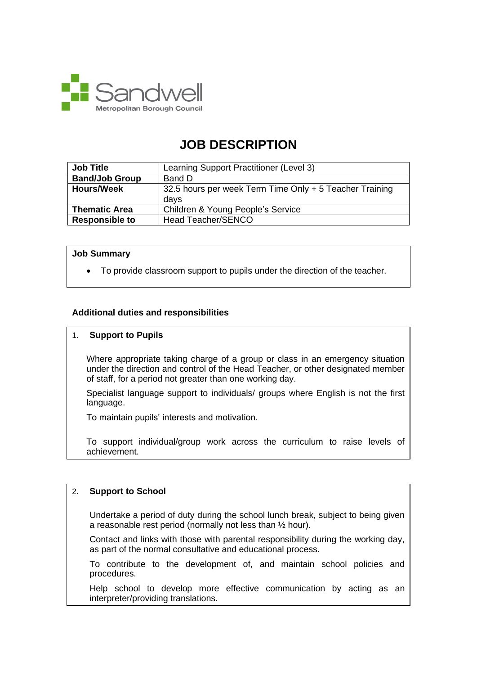

# **JOB DESCRIPTION**

| <b>Job Title</b>      | Learning Support Practitioner (Level 3)                         |
|-----------------------|-----------------------------------------------------------------|
| <b>Band/Job Group</b> | Band D                                                          |
| <b>Hours/Week</b>     | 32.5 hours per week Term Time Only + 5 Teacher Training<br>davs |
| <b>Thematic Area</b>  | Children & Young People's Service                               |
| <b>Responsible to</b> | Head Teacher/SENCO                                              |

#### **Job Summary**

• To provide classroom support to pupils under the direction of the teacher.

#### **Additional duties and responsibilities**

#### 1. **Support to Pupils**

Where appropriate taking charge of a group or class in an emergency situation under the direction and control of the Head Teacher, or other designated member of staff, for a period not greater than one working day.

Specialist language support to individuals/ groups where English is not the first language.

To maintain pupils' interests and motivation.

To support individual/group work across the curriculum to raise levels of achievement.

### 2. **Support to School**

Undertake a period of duty during the school lunch break, subject to being given a reasonable rest period (normally not less than ½ hour).

Contact and links with those with parental responsibility during the working day, as part of the normal consultative and educational process.

To contribute to the development of, and maintain school policies and procedures.

Help school to develop more effective communication by acting as an interpreter/providing translations.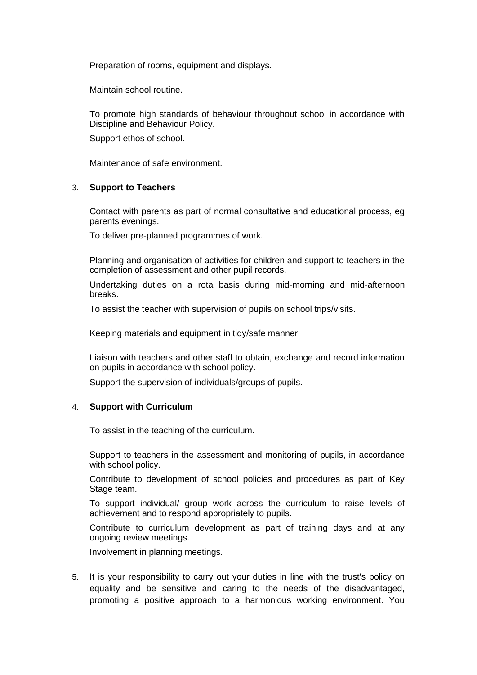Preparation of rooms, equipment and displays.

Maintain school routine.

To promote high standards of behaviour throughout school in accordance with Discipline and Behaviour Policy.

Support ethos of school.

Maintenance of safe environment.

## 3. **Support to Teachers**

Contact with parents as part of normal consultative and educational process, eg parents evenings.

To deliver pre-planned programmes of work.

Planning and organisation of activities for children and support to teachers in the completion of assessment and other pupil records.

Undertaking duties on a rota basis during mid-morning and mid-afternoon breaks.

To assist the teacher with supervision of pupils on school trips/visits.

Keeping materials and equipment in tidy/safe manner.

Liaison with teachers and other staff to obtain, exchange and record information on pupils in accordance with school policy.

Support the supervision of individuals/groups of pupils.

# 4. **Support with Curriculum**

To assist in the teaching of the curriculum.

Support to teachers in the assessment and monitoring of pupils, in accordance with school policy.

Contribute to development of school policies and procedures as part of Key Stage team.

To support individual/ group work across the curriculum to raise levels of achievement and to respond appropriately to pupils.

Contribute to curriculum development as part of training days and at any ongoing review meetings.

Involvement in planning meetings.

5. It is your responsibility to carry out your duties in line with the trust's policy on equality and be sensitive and caring to the needs of the disadvantaged, promoting a positive approach to a harmonious working environment. You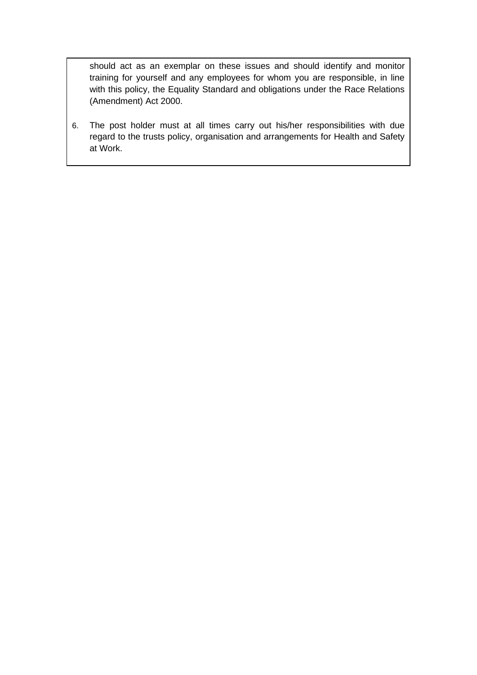should act as an exemplar on these issues and should identify and monitor training for yourself and any employees for whom you are responsible, in line with this policy, the Equality Standard and obligations under the Race Relations (Amendment) Act 2000.

6. The post holder must at all times carry out his/her responsibilities with due regard to the trusts policy, organisation and arrangements for Health and Safety at Work.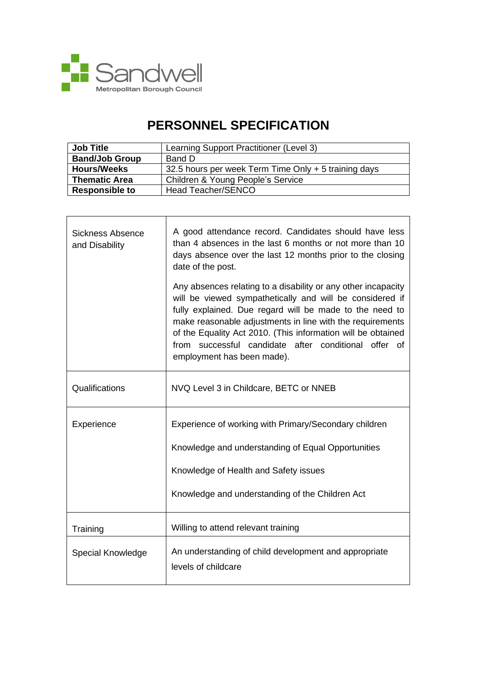

 $\mathbf{r}$ 

# **PERSONNEL SPECIFICATION**

| <b>Job Title</b>      | Learning Support Practitioner (Level 3)              |
|-----------------------|------------------------------------------------------|
| <b>Band/Job Group</b> | Band D                                               |
| <b>Hours/Weeks</b>    | 32.5 hours per week Term Time Only + 5 training days |
| <b>Thematic Area</b>  | Children & Young People's Service                    |
| <b>Responsible to</b> | Head Teacher/SENCO                                   |

| <b>Sickness Absence</b><br>and Disability | A good attendance record. Candidates should have less<br>than 4 absences in the last 6 months or not more than 10<br>days absence over the last 12 months prior to the closing<br>date of the post.                                                                                                                                                                                                     |
|-------------------------------------------|---------------------------------------------------------------------------------------------------------------------------------------------------------------------------------------------------------------------------------------------------------------------------------------------------------------------------------------------------------------------------------------------------------|
|                                           | Any absences relating to a disability or any other incapacity<br>will be viewed sympathetically and will be considered if<br>fully explained. Due regard will be made to the need to<br>make reasonable adjustments in line with the requirements<br>of the Equality Act 2010. (This information will be obtained<br>from successful candidate after conditional offer of<br>employment has been made). |
| Qualifications                            | NVQ Level 3 in Childcare, BETC or NNEB                                                                                                                                                                                                                                                                                                                                                                  |
| Experience                                | Experience of working with Primary/Secondary children<br>Knowledge and understanding of Equal Opportunities<br>Knowledge of Health and Safety issues<br>Knowledge and understanding of the Children Act                                                                                                                                                                                                 |
| Training                                  | Willing to attend relevant training                                                                                                                                                                                                                                                                                                                                                                     |
| Special Knowledge                         | An understanding of child development and appropriate<br>levels of childcare                                                                                                                                                                                                                                                                                                                            |